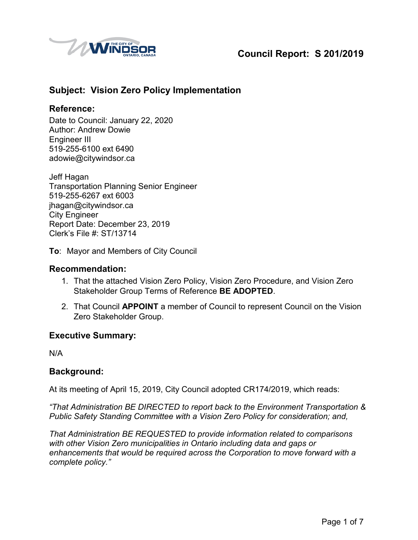

# **Council Report: S 201/2019**

# **Subject: Vision Zero Policy Implementation**

### **Reference:**

Date to Council: January 22, 2020 Author: Andrew Dowie Engineer III 519-255-6100 ext 6490 adowie@citywindsor.ca

Jeff Hagan Transportation Planning Senior Engineer 519-255-6267 ext 6003 jhagan@citywindsor.ca City Engineer Report Date: December 23, 2019 Clerk's File #: ST/13714

**To**: Mayor and Members of City Council

#### **Recommendation:**

- 1. That the attached Vision Zero Policy, Vision Zero Procedure, and Vision Zero Stakeholder Group Terms of Reference **BE ADOPTED**.
- 2. That Council **APPOINT** a member of Council to represent Council on the Vision Zero Stakeholder Group.

#### **Executive Summary:**

N/A

#### **Background:**

At its meeting of April 15, 2019, City Council adopted CR174/2019, which reads:

*"That Administration BE DIRECTED to report back to the Environment Transportation & Public Safety Standing Committee with a Vision Zero Policy for consideration; and,* 

*That Administration BE REQUESTED to provide information related to comparisons with other Vision Zero municipalities in Ontario including data and gaps or enhancements that would be required across the Corporation to move forward with a complete policy."*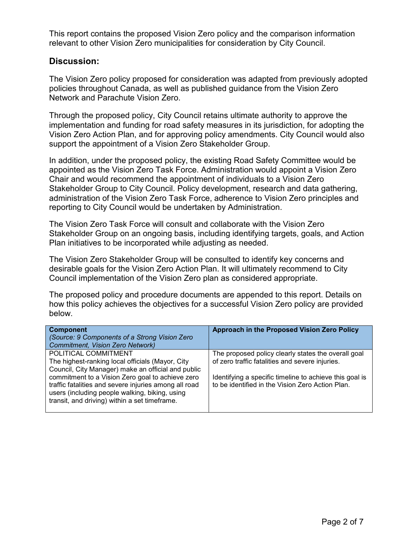This report contains the proposed Vision Zero policy and the comparison information relevant to other Vision Zero municipalities for consideration by City Council.

### **Discussion:**

The Vision Zero policy proposed for consideration was adapted from previously adopted policies throughout Canada, as well as published guidance from the Vision Zero Network and Parachute Vision Zero.

Through the proposed policy, City Council retains ultimate authority to approve the implementation and funding for road safety measures in its jurisdiction, for adopting the Vision Zero Action Plan, and for approving policy amendments. City Council would also support the appointment of a Vision Zero Stakeholder Group.

In addition, under the proposed policy, the existing Road Safety Committee would be appointed as the Vision Zero Task Force. Administration would appoint a Vision Zero Chair and would recommend the appointment of individuals to a Vision Zero Stakeholder Group to City Council. Policy development, research and data gathering, administration of the Vision Zero Task Force, adherence to Vision Zero principles and reporting to City Council would be undertaken by Administration.

The Vision Zero Task Force will consult and collaborate with the Vision Zero Stakeholder Group on an ongoing basis, including identifying targets, goals, and Action Plan initiatives to be incorporated while adjusting as needed.

The Vision Zero Stakeholder Group will be consulted to identify key concerns and desirable goals for the Vision Zero Action Plan. It will ultimately recommend to City Council implementation of the Vision Zero plan as considered appropriate.

The proposed policy and procedure documents are appended to this report. Details on how this policy achieves the objectives for a successful Vision Zero policy are provided below.

| <b>Component</b><br>(Source: 9 Components of a Strong Vision Zero<br><b>Commitment, Vision Zero Network)</b>                                             | Approach in the Proposed Vision Zero Policy             |
|----------------------------------------------------------------------------------------------------------------------------------------------------------|---------------------------------------------------------|
| POLITICAL COMMITMENT                                                                                                                                     | The proposed policy clearly states the overall goal     |
| The highest-ranking local officials (Mayor, City<br>Council, City Manager) make an official and public                                                   | of zero traffic fatalities and severe injuries.         |
| commitment to a Vision Zero goal to achieve zero                                                                                                         | Identifying a specific timeline to achieve this goal is |
| traffic fatalities and severe injuries among all road<br>users (including people walking, biking, using<br>transit, and driving) within a set timeframe. | to be identified in the Vision Zero Action Plan.        |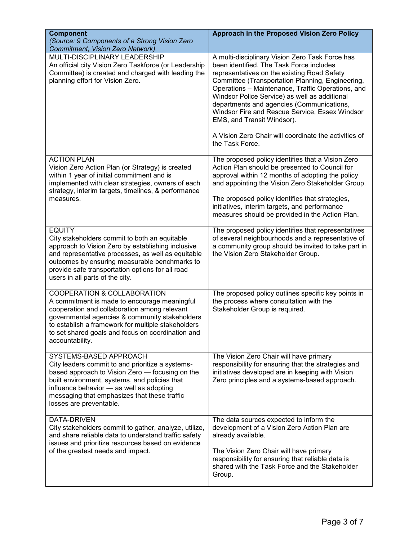| <b>Component</b><br>(Source: 9 Components of a Strong Vision Zero<br>Commitment, Vision Zero Network)                                                                                                                                                                                                             | Approach in the Proposed Vision Zero Policy                                                                                                                                                                                                                                                                                                                                                                                                                                                                   |
|-------------------------------------------------------------------------------------------------------------------------------------------------------------------------------------------------------------------------------------------------------------------------------------------------------------------|---------------------------------------------------------------------------------------------------------------------------------------------------------------------------------------------------------------------------------------------------------------------------------------------------------------------------------------------------------------------------------------------------------------------------------------------------------------------------------------------------------------|
| MULTI-DISCIPLINARY LEADERSHIP<br>An official city Vision Zero Taskforce (or Leadership<br>Committee) is created and charged with leading the<br>planning effort for Vision Zero.                                                                                                                                  | A multi-disciplinary Vision Zero Task Force has<br>been identified. The Task Force includes<br>representatives on the existing Road Safety<br>Committee (Transportation Planning, Engineering,<br>Operations - Maintenance, Traffic Operations, and<br>Windsor Police Service) as well as additional<br>departments and agencies (Communications,<br>Windsor Fire and Rescue Service, Essex Windsor<br>EMS, and Transit Windsor).<br>A Vision Zero Chair will coordinate the activities of<br>the Task Force. |
| <b>ACTION PLAN</b><br>Vision Zero Action Plan (or Strategy) is created<br>within 1 year of initial commitment and is<br>implemented with clear strategies, owners of each<br>strategy, interim targets, timelines, & performance<br>measures.                                                                     | The proposed policy identifies that a Vision Zero<br>Action Plan should be presented to Council for<br>approval within 12 months of adopting the policy<br>and appointing the Vision Zero Stakeholder Group.<br>The proposed policy identifies that strategies,<br>initiatives, interim targets, and performance<br>measures should be provided in the Action Plan.                                                                                                                                           |
| <b>EQUITY</b><br>City stakeholders commit to both an equitable<br>approach to Vision Zero by establishing inclusive<br>and representative processes, as well as equitable<br>outcomes by ensuring measurable benchmarks to<br>provide safe transportation options for all road<br>users in all parts of the city. | The proposed policy identifies that representatives<br>of several neighbourhoods and a representative of<br>a community group should be invited to take part in<br>the Vision Zero Stakeholder Group.                                                                                                                                                                                                                                                                                                         |
| COOPERATION & COLLABORATION<br>A commitment is made to encourage meaningful<br>cooperation and collaboration among relevant<br>governmental agencies & community stakeholders<br>to establish a framework for multiple stakeholders<br>to set shared goals and focus on coordination and<br>accountability.       | The proposed policy outlines specific key points in<br>the process where consultation with the<br>Stakeholder Group is required.                                                                                                                                                                                                                                                                                                                                                                              |
| SYSTEMS-BASED APPROACH<br>City leaders commit to and prioritize a systems-<br>based approach to Vision Zero - focusing on the<br>built environment, systems, and policies that<br>influence behavior - as well as adopting<br>messaging that emphasizes that these traffic<br>losses are preventable.             | The Vision Zero Chair will have primary<br>responsibility for ensuring that the strategies and<br>initiatives developed are in keeping with Vision<br>Zero principles and a systems-based approach.                                                                                                                                                                                                                                                                                                           |
| <b>DATA-DRIVEN</b><br>City stakeholders commit to gather, analyze, utilize,<br>and share reliable data to understand traffic safety<br>issues and prioritize resources based on evidence<br>of the greatest needs and impact.                                                                                     | The data sources expected to inform the<br>development of a Vision Zero Action Plan are<br>already available.<br>The Vision Zero Chair will have primary<br>responsibility for ensuring that reliable data is<br>shared with the Task Force and the Stakeholder<br>Group.                                                                                                                                                                                                                                     |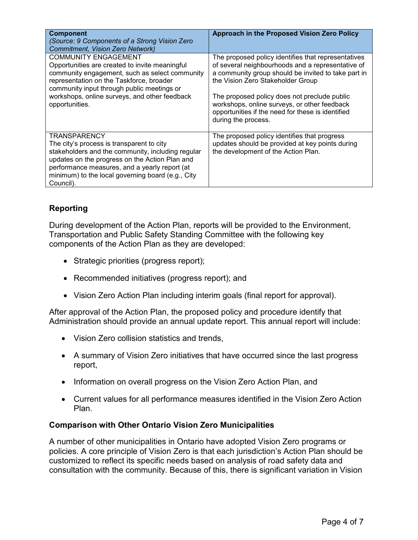| <b>Component</b><br>(Source: 9 Components of a Strong Vision Zero<br>Commitment, Vision Zero Network)                                                                                                                                                                                        | Approach in the Proposed Vision Zero Policy                                                                                                                                                                                                                                                                                                                                      |
|----------------------------------------------------------------------------------------------------------------------------------------------------------------------------------------------------------------------------------------------------------------------------------------------|----------------------------------------------------------------------------------------------------------------------------------------------------------------------------------------------------------------------------------------------------------------------------------------------------------------------------------------------------------------------------------|
| <b>COMMUNITY ENGAGEMENT</b><br>Opportunities are created to invite meaningful<br>community engagement, such as select community<br>representation on the Taskforce, broader<br>community input through public meetings or<br>workshops, online surveys, and other feedback<br>opportunities. | The proposed policy identifies that representatives<br>of several neighbourhoods and a representative of<br>a community group should be invited to take part in<br>the Vision Zero Stakeholder Group<br>The proposed policy does not preclude public<br>workshops, online surveys, or other feedback<br>opportunities if the need for these is identified<br>during the process. |
| <b>TRANSPARENCY</b><br>The city's process is transparent to city<br>stakeholders and the community, including regular<br>updates on the progress on the Action Plan and<br>performance measures, and a yearly report (at<br>minimum) to the local governing board (e.g., City<br>Council).   | The proposed policy identifies that progress<br>updates should be provided at key points during<br>the development of the Action Plan.                                                                                                                                                                                                                                           |

# **Reporting**

During development of the Action Plan, reports will be provided to the Environment, Transportation and Public Safety Standing Committee with the following key components of the Action Plan as they are developed:

- Strategic priorities (progress report);
- Recommended initiatives (progress report); and
- Vision Zero Action Plan including interim goals (final report for approval).

After approval of the Action Plan, the proposed policy and procedure identify that Administration should provide an annual update report. This annual report will include:

- Vision Zero collision statistics and trends,
- A summary of Vision Zero initiatives that have occurred since the last progress report,
- Information on overall progress on the Vision Zero Action Plan, and
- Current values for all performance measures identified in the Vision Zero Action Plan.

#### **Comparison with Other Ontario Vision Zero Municipalities**

A number of other municipalities in Ontario have adopted Vision Zero programs or policies. A core principle of Vision Zero is that each jurisdiction's Action Plan should be customized to reflect its specific needs based on analysis of road safety data and consultation with the community. Because of this, there is significant variation in Vision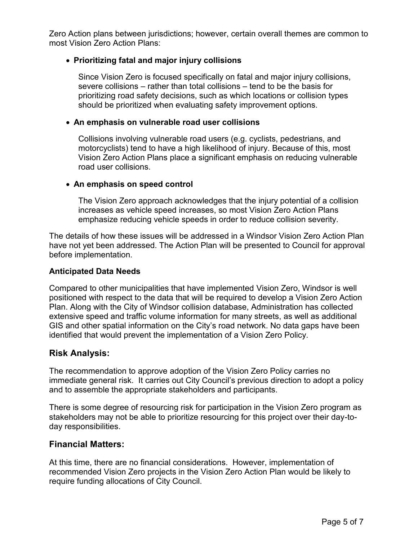Zero Action plans between jurisdictions; however, certain overall themes are common to most Vision Zero Action Plans:

### **Prioritizing fatal and major injury collisions**

Since Vision Zero is focused specifically on fatal and major injury collisions, severe collisions – rather than total collisions – tend to be the basis for prioritizing road safety decisions, such as which locations or collision types should be prioritized when evaluating safety improvement options.

#### **An emphasis on vulnerable road user collisions**

Collisions involving vulnerable road users (e.g. cyclists, pedestrians, and motorcyclists) tend to have a high likelihood of injury. Because of this, most Vision Zero Action Plans place a significant emphasis on reducing vulnerable road user collisions.

#### **An emphasis on speed control**

The Vision Zero approach acknowledges that the injury potential of a collision increases as vehicle speed increases, so most Vision Zero Action Plans emphasize reducing vehicle speeds in order to reduce collision severity.

The details of how these issues will be addressed in a Windsor Vision Zero Action Plan have not yet been addressed. The Action Plan will be presented to Council for approval before implementation.

#### **Anticipated Data Needs**

Compared to other municipalities that have implemented Vision Zero, Windsor is well positioned with respect to the data that will be required to develop a Vision Zero Action Plan. Along with the City of Windsor collision database, Administration has collected extensive speed and traffic volume information for many streets, as well as additional GIS and other spatial information on the City's road network. No data gaps have been identified that would prevent the implementation of a Vision Zero Policy.

#### **Risk Analysis:**

The recommendation to approve adoption of the Vision Zero Policy carries no immediate general risk. It carries out City Council's previous direction to adopt a policy and to assemble the appropriate stakeholders and participants.

There is some degree of resourcing risk for participation in the Vision Zero program as stakeholders may not be able to prioritize resourcing for this project over their day-today responsibilities.

#### **Financial Matters:**

At this time, there are no financial considerations. However, implementation of recommended Vision Zero projects in the Vision Zero Action Plan would be likely to require funding allocations of City Council.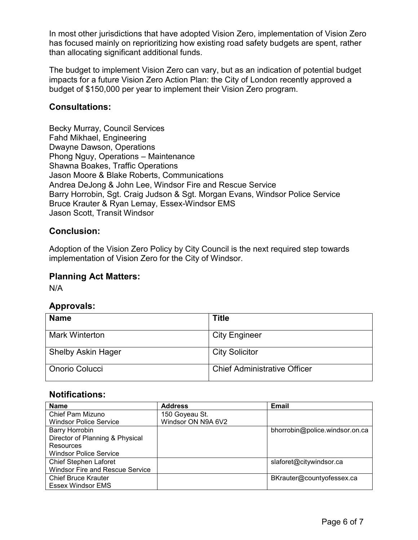In most other jurisdictions that have adopted Vision Zero, implementation of Vision Zero has focused mainly on reprioritizing how existing road safety budgets are spent, rather than allocating significant additional funds.

The budget to implement Vision Zero can vary, but as an indication of potential budget impacts for a future Vision Zero Action Plan: the City of London recently approved a budget of \$150,000 per year to implement their Vision Zero program.

## **Consultations:**

Becky Murray, Council Services Fahd Mikhael, Engineering Dwayne Dawson, Operations Phong Nguy, Operations – Maintenance Shawna Boakes, Traffic Operations Jason Moore & Blake Roberts, Communications Andrea DeJong & John Lee, Windsor Fire and Rescue Service Barry Horrobin, Sgt. Craig Judson & Sgt. Morgan Evans, Windsor Police Service Bruce Krauter & Ryan Lemay, Essex-Windsor EMS Jason Scott, Transit Windsor

## **Conclusion:**

Adoption of the Vision Zero Policy by City Council is the next required step towards implementation of Vision Zero for the City of Windsor.

### **Planning Act Matters:**

N/A

# **Approvals:**

| <b>Name</b>               | <b>Title</b>                        |
|---------------------------|-------------------------------------|
| <b>Mark Winterton</b>     | <b>City Engineer</b>                |
| <b>Shelby Askin Hager</b> | <b>City Solicitor</b>               |
| <b>Onorio Colucci</b>     | <b>Chief Administrative Officer</b> |

# **Notifications:**

| <b>Name</b>                            | <b>Address</b>     | <b>Email</b>                   |
|----------------------------------------|--------------------|--------------------------------|
| Chief Pam Mizuno                       | 150 Goyeau St.     |                                |
| <b>Windsor Police Service</b>          | Windsor ON N9A 6V2 |                                |
| <b>Barry Horrobin</b>                  |                    | bhorrobin@police.windsor.on.ca |
| Director of Planning & Physical        |                    |                                |
| Resources                              |                    |                                |
| <b>Windsor Police Service</b>          |                    |                                |
| <b>Chief Stephen Laforet</b>           |                    | slaforet@citywindsor.ca        |
| <b>Windsor Fire and Rescue Service</b> |                    |                                |
| <b>Chief Bruce Krauter</b>             |                    | BKrauter@countyofessex.ca      |
| <b>Essex Windsor EMS</b>               |                    |                                |